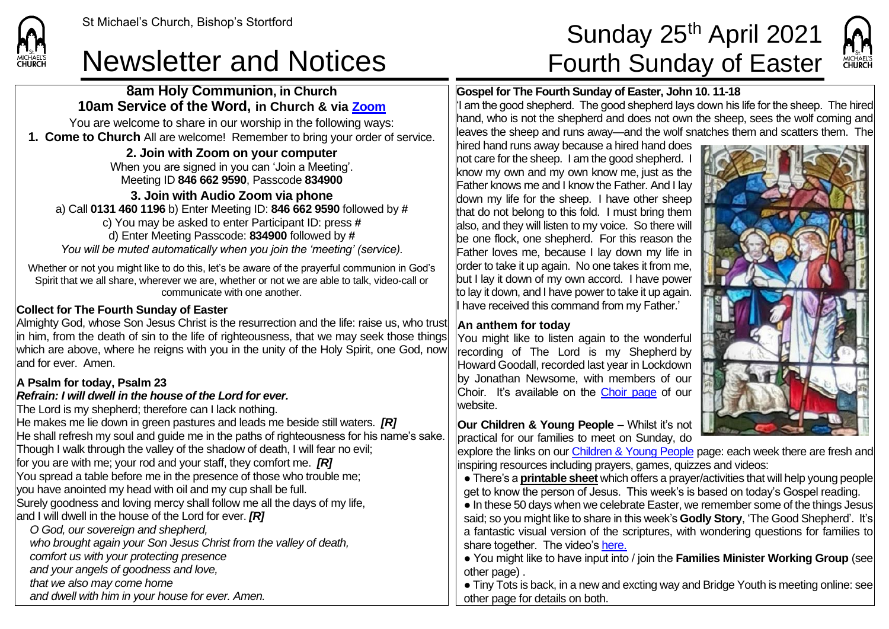## Newsletter and Notices Fourth Sunday of Easter

**8am Holy Communion, in Church 10am Service of the Word, in Church & via [Zoom](https://zoom.us/)** You are welcome to share in our worship in the following ways: **1. Come to Church** All are welcome! Remember to bring your order of service. **2. Join with Zoom on your computer** When you are signed in you can 'Join a Meeting'. Meeting ID **846 662 9590**, Passcode **834900 3. Join with Audio Zoom via phone**  a) Call **0131 460 1196** b) Enter Meeting ID: **846 662 9590** followed by **#**

c) You may be asked to enter Participant ID: press **#** d) Enter Meeting Passcode: **834900** followed by **#** *You will be muted automatically when you join the 'meeting' (service).*

Whether or not you might like to do this, let's be aware of the prayerful communion in God's Spirit that we all share, wherever we are, whether or not we are able to talk, video-call or communicate with one another.

### **Collect for The Fourth Sunday of Easter**

Almighty God, whose Son Jesus Christ is the resurrection and the life: raise us, who trust in him, from the death of sin to the life of righteousness, that we may seek those things which are above, where he reigns with you in the unity of the Holy Spirit, one God, now and for ever. Amen.

### **A Psalm for today, Psalm 23**

#### *Refrain: I will dwell in the house of the Lord for ever.*

The Lord is my shepherd; therefore can I lack nothing. He makes me lie down in green pastures and leads me beside still waters. *[R]* He shall refresh my soul and guide me in the paths of righteousness for his name's sake. Though I walk through the valley of the shadow of death, I will fear no evil; for you are with me; your rod and your staff, they comfort me. *[R]* You spread a table before me in the presence of those who trouble me; you have anointed my head with oil and my cup shall be full. Surely goodness and loving mercy shall follow me all the days of my life, and I will dwell in the house of the Lord for ever. *[R] O God, our sovereign and shepherd, who brought again your Son Jesus Christ from the valley of death,*

*comfort us with your protecting presence*

*and your angels of goodness and love,*

*that we also may come home*

*and dwell with him in your house for ever. Amen.*

# St Michael's Church, Bishop's Stortford **Sunday 25<sup>th</sup> April 2021**



#### **Gospel for The Fourth Sunday of Easter, John 10. 11-18**

 $|$  am the good shepherd. The good shepherd lays down his life for the sheep. The hired hand, who is not the shepherd and does not own the sheep, sees the wolf coming and leaves the sheep and runs away—and the wolf snatches them and scatters them. The

hired hand runs away because a hired hand does not care for the sheep. I am the good shepherd. I know my own and my own know me, just as the Father knows me and I know the Father. And I lay down my life for the sheep. I have other sheep that do not belong to this fold. I must bring them also, and they will listen to my voice. So there will be one flock, one shepherd. For this reason the Father loves me, because I lay down my life in order to take it up again. No one takes it from me, but I lay it down of my own accord. I have power to lay it down, and I have power to take it up again. I have received this command from my Father.'

### **An anthem for today**

You might like to listen again to the wonderful recording of The Lord is my Shepherd by Howard Goodall, recorded last year in Lockdown by Jonathan Newsome, with members of our Choir. It's available on the [Choir page](https://saintmichaelweb.org.uk/Groups/310492/Choir.aspx) of our website.

**Our Children & Young People –** Whilst it's not practical for our families to meet on Sunday, do

explore the links on ou[r Children & Young People](https://saintmichaelweb.org.uk/Groups/310496/Children_and_Young.aspx) page: each week there are fresh and inspiring resources including prayers, games, quizzes and videos:

● There's a **[printable sheet](https://saintmichaelweb.org.uk/Groups/310496/Children_and_Young.aspx)** which offers a prayer/activities that will help young people get to know the person of Jesus. This week's is based on today's Gospel reading.

● In these 50 days when we celebrate Easter, we remember some of the things Jesus said; so you might like to share in this week's **Godly Story**, 'The Good Shepherd'. It's a fantastic visual version of the scriptures, with wondering questions for families to share together. The video's [here.](https://www.youtube.com/watch?v=kcReEwA0vZE)

● You might like to have input into / join the **Families Minister Working Group** (see other page) .

● Tiny Tots is back, in a new and excting way and Bridge Youth is meeting online: see other page for details on both.